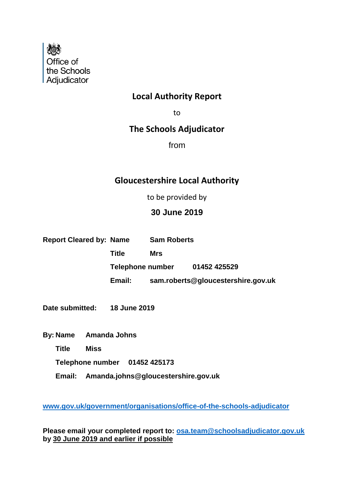

#### **Local Authority Report**

to

### **The Schools Adjudicator**

from

### **Gloucestershire Local Authority**

to be provided by

#### **30 June 2019**

| <b>Report Cleared by: Name</b> |                  | <b>Sam Roberts</b> |                                    |
|--------------------------------|------------------|--------------------|------------------------------------|
|                                | <b>Title</b>     | Mrs                |                                    |
|                                | Telephone number |                    | 01452 425529                       |
|                                | Email:           |                    | sam.roberts@gloucestershire.gov.uk |
|                                |                  |                    |                                    |
| Date submitted:                | 18 June 2019     |                    |                                    |

- **By: Name Amanda Johns**
	- **Title Miss**
	- **Telephone number 01452 425173**
	- **Email: Amanda.johns@gloucestershire.gov.uk**

**[www.gov.uk/government/organisations/office-of-the-schools-adjudicator](http://www.gov.uk/government/organisations/office-of-the-schools-adjudicator)**

**Please email your completed report to: [osa.team@schoolsadjudicator.gov.uk](mailto:osa.team@schoolsadjudicator.gov.uk) by 30 June 2019 and earlier if possible**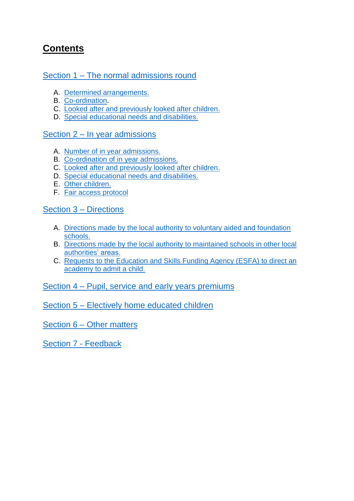## **Contents**

#### Section 1 – [The normal admissions round](#page-3-0)

- A. [Determined arrangements.](#page-3-1)
- B. [Co-ordination.](#page-6-0)
- C. [Looked after and previously looked after children.](#page-6-0)
- D. [Special educational needs and disabilities.](#page-9-0)

#### Section 2 – [In year admissions](#page-8-0)

- A. [Number of in year](#page-9-0) admissions.
- B. [Co-ordination](#page-15-0) of in year admissions.
- C. [Looked after and previously looked after children.](#page-15-0)
- D. [Special educational needs and disabilities.](#page-15-0)
- E. [Other children.](#page-15-0)
- F. [Fair access protocol](#page-15-0)

#### Section 3 – [Directions](#page-14-0)

- A. [Directions made by the local authority to voluntary aided and foundation](#page-15-0)  [schools.](#page-15-0)
- B. [Directions made by the local authority to maintained schools in other local](#page-15-0)  [authorities' areas.](#page-15-0)
- C. [Requests to the Education and Skills Funding Agency](#page-15-0) (ESFA) to direct an [academy to admit a child.](#page-15-0)

#### Section 4 – Pupil, [service and early years](#page-16-0) premiums

Section 5 – Electively [home educated children](#page-17-0)

Section 6 – [Other matters](#page-17-1)

Section 7 - [Feedback](#page-18-0)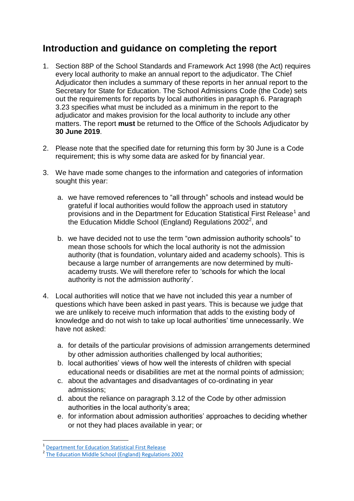### **Introduction and guidance on completing the report**

- 1. Section 88P of the School Standards and Framework Act 1998 (the Act) requires every local authority to make an annual report to the adjudicator. The Chief Adjudicator then includes a summary of these reports in her annual report to the Secretary for State for Education. The School Admissions Code (the Code) sets out the requirements for reports by local authorities in paragraph 6. Paragraph 3.23 specifies what must be included as a minimum in the report to the adjudicator and makes provision for the local authority to include any other matters. The report **must** be returned to the Office of the Schools Adjudicator by **30 June 2019**.
- 2. Please note that the specified date for returning this form by 30 June is a Code requirement; this is why some data are asked for by financial year.
- 3. We have made some changes to the information and categories of information sought this year:
	- a. we have removed references to "all through" schools and instead would be grateful if local authorities would follow the approach used in statutory provisions and in the Department for Education Statistical First Release<sup>1</sup> and the Education Middle School (England) Regulations 2002<sup>2</sup>, and
	- b. we have decided not to use the term "own admission authority schools" to mean those schools for which the local authority is not the admission authority (that is foundation, voluntary aided and academy schools). This is because a large number of arrangements are now determined by multiacademy trusts. We will therefore refer to 'schools for which the local authority is not the admission authority'.
- 4. Local authorities will notice that we have not included this year a number of questions which have been asked in past years. This is because we judge that we are unlikely to receive much information that adds to the existing body of knowledge and do not wish to take up local authorities' time unnecessarily. We have not asked:
	- a. for details of the particular provisions of admission arrangements determined by other admission authorities challenged by local authorities;
	- b. local authorities' views of how well the interests of children with special educational needs or disabilities are met at the normal points of admission;
	- c. about the advantages and disadvantages of co-ordinating in year admissions;
	- d. about the reliance on paragraph 3.12 of the Code by other admission authorities in the local authority's area;
	- e. for information about admission authorities' approaches to deciding whether or not they had places available in year; or

**.** 

<sup>1</sup> [Department for Education Statistical First Release](https://www.gov.uk/government/statistics/schools-pupils-and-their-characteristics-january-2018)

<sup>&</sup>lt;sup>2</sup> The Education Middle School (England) Regulations 2002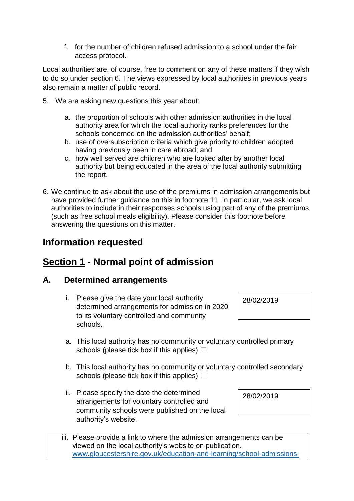f. for the number of children refused admission to a school under the fair access protocol.

Local authorities are, of course, free to comment on any of these matters if they wish to do so under section 6. The views expressed by local authorities in previous years also remain a matter of public record.

- 5. We are asking new questions this year about:
	- a. the proportion of schools with other admission authorities in the local authority area for which the local authority ranks preferences for the schools concerned on the admission authorities' behalf;
	- b. use of oversubscription criteria which give priority to children adopted having previously been in care abroad; and
	- c. how well served are children who are looked after by another local authority but being educated in the area of the local authority submitting the report.
- 6. We continue to ask about the use of the premiums in admission arrangements but have provided further guidance on this in footnote 11. In particular, we ask local authorities to include in their responses schools using part of any of the premiums (such as free school meals eligibility). Please consider this footnote before answering the questions on this matter.

### **Information requested**

### <span id="page-3-0"></span>**Section 1 - Normal point of admission**

#### <span id="page-3-1"></span>**A. Determined arrangements**

- i. Please give the date your local authority determined arrangements for admission in 2020 to its voluntary controlled and community schools.
- a. This local authority has no community or voluntary controlled primary schools (please tick box if this applies)  $\Box$
- b. This local authority has no community or voluntary controlled secondary schools (please tick box if this applies)  $\Box$
- ii. Please specify the date the determined arrangements for voluntary controlled and community schools were published on the local authority's website.

28/02/2019

iii. Please provide a link to where the admission arrangements can be viewed on the local authority's website on publication. [www.gloucestershire.gov.uk/education-and-learning/school-admissions-](http://www.gloucestershire.gov.uk/education-and-learning/school-admissions-scheme-criteria-and-protocol/determined-admission-criteria-and-scheme-for-2020/)

28/02/2019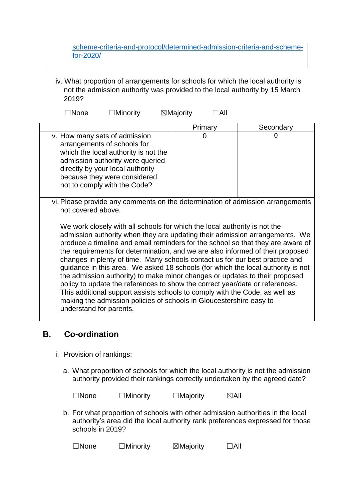#### [scheme-criteria-and-protocol/determined-admission-criteria-and-scheme](http://www.gloucestershire.gov.uk/education-and-learning/school-admissions-scheme-criteria-and-protocol/determined-admission-criteria-and-scheme-for-2020/)[for-2020/](http://www.gloucestershire.gov.uk/education-and-learning/school-admissions-scheme-criteria-and-protocol/determined-admission-criteria-and-scheme-for-2020/)

iv. What proportion of arrangements for schools for which the local authority is not the admission authority was provided to the local authority by 15 March 2019?

☐None ☐Minority ☒Majority ☐All

|                                                                                                                                                                                                                                              | Primary | Secondary |
|----------------------------------------------------------------------------------------------------------------------------------------------------------------------------------------------------------------------------------------------|---------|-----------|
| v. How many sets of admission<br>arrangements of schools for<br>which the local authority is not the<br>admission authority were queried<br>directly by your local authority<br>because they were considered<br>not to comply with the Code? |         |           |

vi. Please provide any comments on the determination of admission arrangements not covered above.

We work closely with all schools for which the local authority is not the admission authority when they are updating their admission arrangements. We produce a timeline and email reminders for the school so that they are aware of the requirements for determination, and we are also informed of their proposed changes in plenty of time. Many schools contact us for our best practice and guidance in this area. We asked 18 schools (for which the local authority is not the admission authority) to make minor changes or updates to their proposed policy to update the references to show the correct year/date or references. This additional support assists schools to comply with the Code, as well as making the admission policies of schools in Gloucestershire easy to understand for parents.

### **B. Co-ordination**

- i. Provision of rankings:
	- a. What proportion of schools for which the local authority is not the admission authority provided their rankings correctly undertaken by the agreed date?

| $\Box$ None | $\Box$ Minority | $\Box$ Majority | $\boxtimes$ All |
|-------------|-----------------|-----------------|-----------------|
|             |                 |                 |                 |

b. For what proportion of schools with other admission authorities in the local authority's area did the local authority rank preferences expressed for those schools in 2019?

| $\Box$ None | $\Box$ Minority | $\boxtimes$ Majority | $\Box$ All |
|-------------|-----------------|----------------------|------------|
|             |                 |                      |            |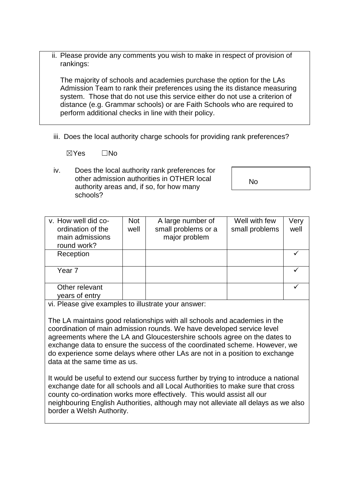ii. Please provide any comments you wish to make in respect of provision of rankings:

The majority of schools and academies purchase the option for the LAs Admission Team to rank their preferences using the its distance measuring system. Those that do not use this service either do not use a criterion of distance (e.g. Grammar schools) or are Faith Schools who are required to perform additional checks in line with their policy.

iii. Does the local authority charge schools for providing rank preferences?

☒Yes ☐No

iv. Does the local authority rank preferences for other admission authorities in OTHER local authority areas and, if so, for how many schools?

No

| v. How well did co-<br>ordination of the<br>main admissions<br>round work? | <b>Not</b><br>well | A large number of<br>small problems or a<br>major problem | Well with few<br>small problems | Very<br>well |
|----------------------------------------------------------------------------|--------------------|-----------------------------------------------------------|---------------------------------|--------------|
| Reception                                                                  |                    |                                                           |                                 |              |
| Year 7                                                                     |                    |                                                           |                                 |              |
| Other relevant<br>years of entry                                           |                    |                                                           |                                 |              |

vi. Please give examples to illustrate your answer:

The LA maintains good relationships with all schools and academies in the coordination of main admission rounds. We have developed service level agreements where the LA and Gloucestershire schools agree on the dates to exchange data to ensure the success of the coordinated scheme. However, we do experience some delays where other LAs are not in a position to exchange data at the same time as us.

It would be useful to extend our success further by trying to introduce a national exchange date for all schools and all Local Authorities to make sure that cross county co-ordination works more effectively. This would assist all our neighbouring English Authorities, although may not alleviate all delays as we also border a Welsh Authority.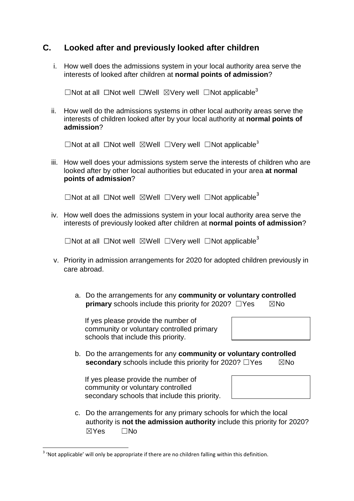#### <span id="page-6-0"></span>**C. Looked after and previously looked after children**

i. How well does the admissions system in your local authority area serve the interests of looked after children at **normal points of admission**?

<span id="page-6-1"></span>□Not at all □Not well □Well ⊠Very well □Not applicable<sup>3</sup>

ii. How well do the admissions systems in other local authority areas serve the interests of children looked after by your local authority at **normal points of admission**?

☐Not at all ☐Not well ☒Well ☐Very well ☐Not applicable[3](#page-6-1)

iii. How well does your admissions system serve the interests of children who are looked after by other local authorities but educated in your area **at normal points of admission**?

□Not at all □Not well ⊠Well □Very well □Not applicable<sup>[3](#page-6-1)</sup>

iv. How well does the admissions system in your local authority area serve the interests of previously looked after children at **normal points of admission**?

□Not at all □Not well ⊠Well □Very well □Not applicable<sup>[3](#page-6-1)</sup>

- v. Priority in admission arrangements for 2020 for adopted children previously in care abroad.
	- a. Do the arrangements for any **community or voluntary controlled primary** schools include this priority for 2020?  $\Box$ Yes  $\boxtimes$ No

If yes please provide the number of community or voluntary controlled primary schools that include this priority.

b. Do the arrangements for any **community or voluntary controlled secondary** schools include this priority for 2020? □Yes **⊠No** 

If yes please provide the number of community or voluntary controlled secondary schools that include this priority.

c. Do the arrangements for any primary schools for which the local authority is **not the admission authority** include this priority for 2020? ☒Yes ☐No

**<sup>.</sup>**  $3$  'Not applicable' will only be appropriate if there are no children falling within this definition.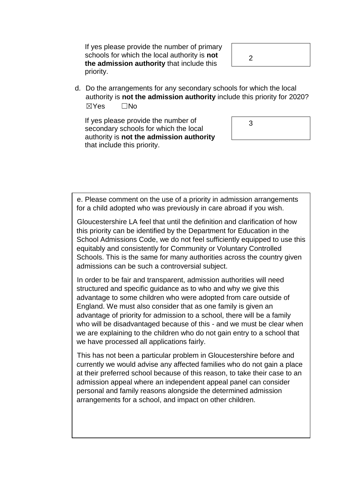If yes please provide the number of primary schools for which the local authority is **not the admission authority** that include this priority.

 $\mathcal{P}$ 

d. Do the arrangements for any secondary schools for which the local authority is **not the admission authority** include this priority for 2020? ☒Yes ☐No

If yes please provide the number of secondary schools for which the local authority is **not the admission authority** that include this priority.



e. Please comment on the use of a priority in admission arrangements for a child adopted who was previously in care abroad if you wish.

Gloucestershire LA feel that until the definition and clarification of how this priority can be identified by the Department for Education in the School Admissions Code, we do not feel sufficiently equipped to use this equitably and consistently for Community or Voluntary Controlled Schools. This is the same for many authorities across the country given admissions can be such a controversial subject.

In order to be fair and transparent, admission authorities will need structured and specific guidance as to who and why we give this advantage to some children who were adopted from care outside of England. We must also consider that as one family is given an advantage of priority for admission to a school, there will be a family who will be disadvantaged because of this - and we must be clear when we are explaining to the children who do not gain entry to a school that we have processed all applications fairly.

This has not been a particular problem in Gloucestershire before and currently we would advise any affected families who do not gain a place at their preferred school because of this reason, to take their case to an admission appeal where an independent appeal panel can consider personal and family reasons alongside the determined admission arrangements for a school, and impact on other children.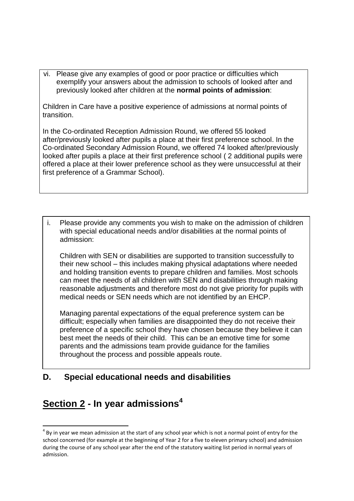vi. Please give any examples of good or poor practice or difficulties which exemplify your answers about the admission to schools of looked after and previously looked after children at the **normal points of admission**:

Children in Care have a positive experience of admissions at normal points of transition.

In the Co-ordinated Reception Admission Round, we offered 55 looked after/previously looked after pupils a place at their first preference school. In the Co-ordinated Secondary Admission Round, we offered 74 looked after/previously looked after pupils a place at their first preference school ( 2 additional pupils were offered a place at their lower preference school as they were unsuccessful at their first preference of a Grammar School).

i. Please provide any comments you wish to make on the admission of children with special educational needs and/or disabilities at the normal points of admission:

Children with SEN or disabilities are supported to transition successfully to their new school – this includes making physical adaptations where needed and holding transition events to prepare children and families. Most schools can meet the needs of all children with SEN and disabilities through making reasonable adjustments and therefore most do not give priority for pupils with medical needs or SEN needs which are not identified by an EHCP.

Managing parental expectations of the equal preference system can be difficult; especially when families are disappointed they do not receive their preference of a specific school they have chosen because they believe it can best meet the needs of their child. This can be an emotive time for some parents and the admissions team provide guidance for the families throughout the process and possible appeals route.

#### **D. Special educational needs and disabilities**

## <span id="page-8-0"></span>**Section 2 - In year admissions<sup>4</sup>**

**.** 

 $<sup>4</sup>$  By in year we mean admission at the start of any school year which is not a normal point of entry for the</sup> school concerned (for example at the beginning of Year 2 for a five to eleven primary school) and admission during the course of any school year after the end of the statutory waiting list period in normal years of admission.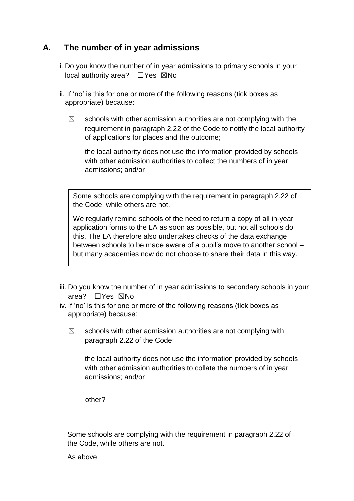#### <span id="page-9-0"></span>**A. The number of in year admissions**

- i. Do you know the number of in year admissions to primary schools in your local authority area? □Yes ⊠No
- ii. If 'no' is this for one or more of the following reasons (tick boxes as appropriate) because:
	- $\boxtimes$  schools with other admission authorities are not complying with the requirement in paragraph 2.22 of the Code to notify the local authority of applications for places and the outcome;
	- $\Box$  the local authority does not use the information provided by schools with other admission authorities to collect the numbers of in year admissions; and/or

Some schools are complying with the requirement in paragraph 2.22 of the Code, while others are not.

We regularly remind schools of the need to return a copy of all in-year application forms to the LA as soon as possible, but not all schools do e this. The LA therefore also undertakes checks of the data exchange r between schools to be made aware of a pupil's move to another school – ? but many academies now do not choose to share their data in this way.

- iii. Do you know the number of in year admissions to secondary schools in your area? ☐Yes ☒No
- iv. If 'no' is this for one or more of the following reasons (tick boxes as appropriate) because:
	- $\boxtimes$  schools with other admission authorities are not complying with paragraph 2.22 of the Code;
	- $\Box$  the local authority does not use the information provided by schools with other admission authorities to collate the numbers of in year admissions; and/or
	- ☐ other?

Some schools are complying with the requirement in paragraph 2.22 of the Code, while others are not.

As above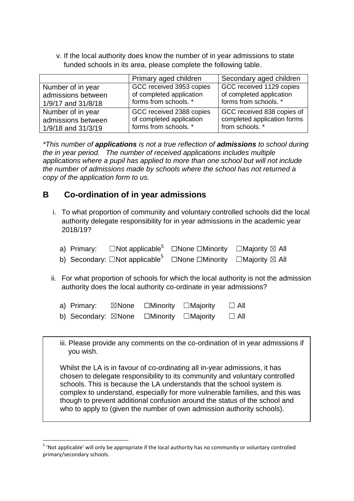v. If the local authority does know the number of in year admissions to state funded schools in its area, please complete the following table.

|                    | Primary aged children    | Secondary aged children     |
|--------------------|--------------------------|-----------------------------|
| Number of in year  | GCC received 3953 copies | GCC received 1129 copies    |
| admissions between | of completed application | of completed application    |
| 1/9/17 and 31/8/18 | forms from schools. *    | forms from schools. *       |
| Number of in year  | GCC received 2388 copies | GCC received 838 copies of  |
| admissions between | of completed application | completed application forms |
| 1/9/18 and 31/3/19 | forms from schools. *    | from schools. *             |

*\*This number of applications is not a true reflection of admissions to school during the in year period. The number of received applications includes multiple applications where a pupil has applied to more than one school but will not include the number of admissions made by schools where the school has not returned a copy of the application form to us.*

### **B Co-ordination of in year admissions**

- i. To what proportion of community and voluntary controlled schools did the local authority delegate responsibility for in year admissions in the academic year 2018/19?
	- a) Primary:  $\Box$ Not applicable<sup>5</sup>  $\Box$ None  $\Box$ Minority  $\Box$ Majority  $\boxtimes$  All
	- b) Secondary: □Not applicable<sup>[5](#page-10-0)</sup> □None □Minority □Majority ⊠ All
- <span id="page-10-0"></span>ii. For what proportion of schools for which the local authority is not the admission authority does the local authority co-ordinate in year admissions?

| a) Primary:         | $\boxtimes$ None | $\square$ Minority $\square$ Majority | $\Box$ All |
|---------------------|------------------|---------------------------------------|------------|
| b) Secondary: ⊠None |                  | $\square$ Minority $\square$ Majority | $\Box$ All |

iii. Please provide any comments on the co-ordination of in year admissions if you wish.

Whilst the LA is in favour of co-ordinating all in-year admissions, it has chosen to delegate responsibility to its community and voluntary controlled schools. This is because the LA understands that the school system is complex to understand, especially for more vulnerable families, and this was though to prevent additional confusion around the status of the school and who to apply to (given the number of own admission authority schools).

**.** 

<sup>&</sup>lt;sup>5</sup> 'Not applicable' will only be appropriate if the local authority has no community or voluntary controlled primary/secondary schools.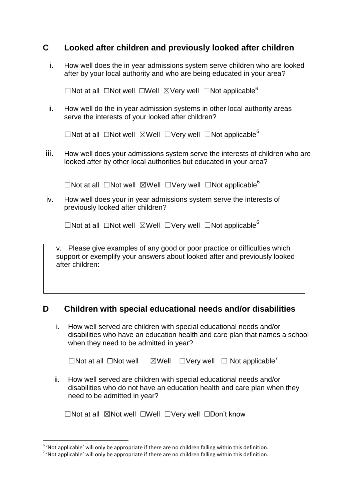#### **C Looked after children and previously looked after children**

i. How well does the in year admissions system serve children who are looked after by your local authority and who are being educated in your area?

<span id="page-11-0"></span> $\Box$ Not at all  $\Box$ Not well  $\Box$ Well  $\Box$ Very well  $\Box$ Not applicable<sup>6</sup>

ii. How well do the in year admission systems in other local authority areas serve the interests of your looked after children?

□Not at all □Not well ⊠Well □Very well □Not applicable<sup>[6](#page-11-0)</sup>

iii. How well does your admissions system serve the interests of children who are looked after by other local authorities but educated in your area?

☐Not at all ☐Not well ☒Well ☐Very well ☐Not applicable[6](#page-11-0)

iv. How well does your in year admissions system serve the interests of previously looked after children?

 $\Box$ Not at all  $\Box$ Not well  $\boxdot$ Well  $\Box$ Very well  $\Box$ Not applicable<sup>[6](#page-11-0)</sup>

| v. Please give examples of any good or poor practice or difficulties which |
|----------------------------------------------------------------------------|
| support or exemplify your answers about looked after and previously looked |
| after children:                                                            |

#### **D Children with special educational needs and/or disabilities**

i. How well served are children with special educational needs and/or disabilities who have an education health and care plan that names a school when they need to be admitted in year?

| $\Box$ Not at all $\Box$ Not well<br>$\boxtimes$ Well $\Box$ Very well $\Box$ Not applicable' |  |
|-----------------------------------------------------------------------------------------------|--|
|-----------------------------------------------------------------------------------------------|--|

ii. How well served are children with special educational needs and/or disabilities who do not have an education health and care plan when they need to be admitted in year?

|  |  |  |  | $\Box$ Not at all $\boxtimes$ Not well $\Box$ Well $\Box$ Very well $\Box$ Don't know |
|--|--|--|--|---------------------------------------------------------------------------------------|
|--|--|--|--|---------------------------------------------------------------------------------------|

 6 'Not applicable' will only be appropriate if there are no children falling within this definition.

 $^7$  'Not applicable' will only be appropriate if there are no children falling within this definition.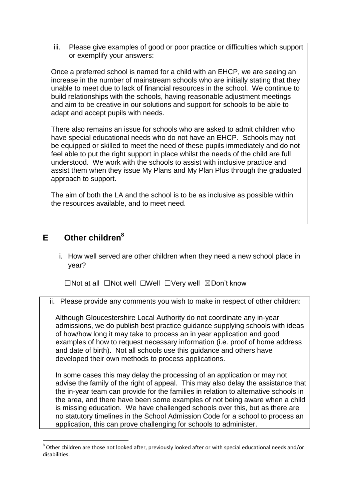iii. Please give examples of good or poor practice or difficulties which support or exemplify your answers:

Once a preferred school is named for a child with an EHCP, we are seeing an increase in the number of mainstream schools who are initially stating that they unable to meet due to lack of financial resources in the school. We continue to build relationships with the schools, having reasonable adjustment meetings and aim to be creative in our solutions and support for schools to be able to adapt and accept pupils with needs.

There also remains an issue for schools who are asked to admit children who have special educational needs who do not have an EHCP. Schools may not be equipped or skilled to meet the need of these pupils immediately and do not feel able to put the right support in place whilst the needs of the child are full understood. We work with the schools to assist with inclusive practice and assist them when they issue My Plans and My Plan Plus through the graduated approach to support.

The aim of both the LA and the school is to be as inclusive as possible within the resources available, and to meet need.

#### **E Other children<sup>8</sup>**

**.** 

i. How well served are other children when they need a new school place in year?

☐Not at all ☐Not well ☐Well ☐Very well ☒Don't know

ii. Please provide any comments you wish to make in respect of other children:

Although Gloucestershire Local Authority do not coordinate any in-year admissions, we do publish best practice guidance supplying schools with ideas of how/how long it may take to process an in year application and good examples of how to request necessary information (i.e. proof of home address and date of birth). Not all schools use this guidance and others have developed their own methods to process applications.

In some cases this may delay the processing of an application or may not advise the family of the right of appeal. This may also delay the assistance that the in-year team can provide for the families in relation to alternative schools in the area, and there have been some examples of not being aware when a child is missing education. We have challenged schools over this, but as there are no statutory timelines in the School Admission Code for a school to process an application, this can prove challenging for schools to administer.

 $^8$  Other children are those not looked after, previously looked after or with special educational needs and/or disabilities.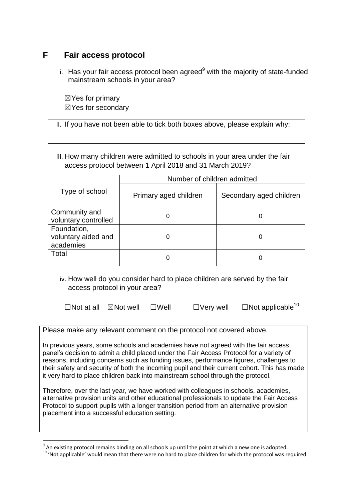#### **F Fair access protocol**

i. Has your fair access protocol been agreed $9$  with the majority of state-funded mainstream schools in your area?

 $\boxtimes$  Yes for primary ☒Yes for secondary

ii. If you have not been able to tick both boxes above, please explain why:

|                                                 | iii. How many children were admitted to schools in your area under the fair<br>access protocol between 1 April 2018 and 31 March 2019? |                         |  |  |
|-------------------------------------------------|----------------------------------------------------------------------------------------------------------------------------------------|-------------------------|--|--|
|                                                 | Number of children admitted                                                                                                            |                         |  |  |
| Type of school                                  | Primary aged children                                                                                                                  | Secondary aged children |  |  |
| Community and<br>voluntary controlled           | 0                                                                                                                                      | O                       |  |  |
| Foundation,<br>voluntary aided and<br>academies | 0                                                                                                                                      | 0                       |  |  |
| Total                                           | 0                                                                                                                                      | ი                       |  |  |

iv. How well do you consider hard to place children are served by the fair access protocol in your area?

 $\Box$ Not at all  $\Box$ Not well  $\Box$ Well  $\Box$ Very well  $\Box$ Not applicable<sup>10</sup>

Please make any relevant comment on the protocol not covered above.

In previous years, some schools and academies have not agreed with the fair access panel's decision to admit a child placed under the Fair Access Protocol for a variety of reasons, including concerns such as funding issues, performance figures, challenges to their safety and security of both the incoming pupil and their current cohort. This has made it very hard to place children back into mainstream school through the protocol.

Therefore, over the last year, we have worked with colleagues in schools, academies, alternative provision units and other educational professionals to update the Fair Access Protocol to support pupils with a longer transition period from an alternative provision placement into a successful education setting.

 9 An existing protocol remains binding on all schools up until the point at which a new one is adopted.

<sup>&</sup>lt;sup>10</sup> 'Not applicable' would mean that there were no hard to place children for which the protocol was required.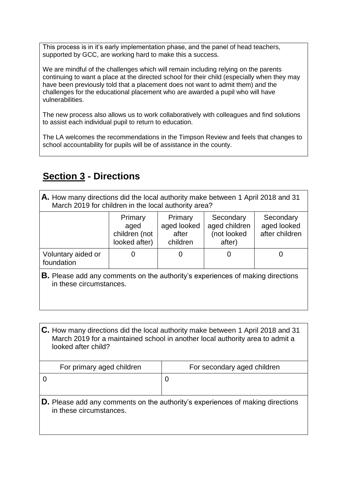This process is in it's early implementation phase, and the panel of head teachers, supported by GCC, are working hard to make this a success.

We are mindful of the challenges which will remain including relying on the parents continuing to want a place at the directed school for their child (especially when they may have been previously told that a placement does not want to admit them) and the challenges for the educational placement who are awarded a pupil who will have vulnerabilities.

The new process also allows us to work collaboratively with colleagues and find solutions to assist each individual pupil to return to education.

The LA welcomes the recommendations in the Timpson Review and feels that changes to school accountability for pupils will be of assistance in the county.

## <span id="page-14-0"></span>**Section 3 - Directions**

**A.** How many directions did the local authority make between 1 April 2018 and 31 March 2019 for children in the local authority area?

|                                  | Primary<br>aged<br>children (not<br>looked after) | Primary<br>aged looked<br>after<br>children | Secondary<br>aged children<br>(not looked<br>after) | Secondary<br>aged looked<br>after children |
|----------------------------------|---------------------------------------------------|---------------------------------------------|-----------------------------------------------------|--------------------------------------------|
| Voluntary aided or<br>foundation |                                                   |                                             |                                                     |                                            |

**B.** Please add any comments on the authority's experiences of making directions in these circumstances.

**C.** How many directions did the local authority make between 1 April 2018 and 31 March 2019 for a maintained school in another local authority area to admit a looked after child?

| For primary aged children | For secondary aged children                                                       |  |
|---------------------------|-----------------------------------------------------------------------------------|--|
|                           |                                                                                   |  |
|                           |                                                                                   |  |
| in these circumstances.   | $ D.$ Please add any comments on the authority's experiences of making directions |  |
|                           |                                                                                   |  |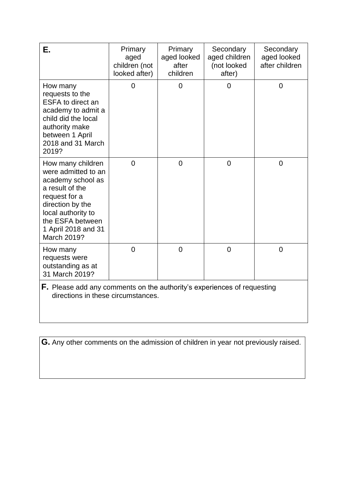<span id="page-15-0"></span>

| Е.                                                                                                                                                                                                    | Primary<br>aged<br>children (not<br>looked after) | Primary<br>aged looked<br>after<br>children | Secondary<br>aged children<br>(not looked<br>after) | Secondary<br>aged looked<br>after children |
|-------------------------------------------------------------------------------------------------------------------------------------------------------------------------------------------------------|---------------------------------------------------|---------------------------------------------|-----------------------------------------------------|--------------------------------------------|
| How many<br>requests to the<br><b>ESFA to direct an</b><br>academy to admit a<br>child did the local<br>authority make<br>between 1 April<br>2018 and 31 March<br>2019?                               | 0                                                 | $\overline{0}$                              | 0                                                   | $\overline{0}$                             |
| How many children<br>were admitted to an<br>academy school as<br>a result of the<br>request for a<br>direction by the<br>local authority to<br>the ESFA between<br>1 April 2018 and 31<br>March 2019? | $\overline{0}$                                    | $\overline{0}$                              | $\overline{0}$                                      | $\overline{0}$                             |
| How many<br>requests were<br>outstanding as at<br>31 March 2019?                                                                                                                                      | 0                                                 | $\overline{0}$                              | $\overline{0}$                                      | 0                                          |

**F.** Please add any comments on the authority's experiences of requesting directions in these circumstances.

**G.** Any other comments on the admission of children in year not previously raised.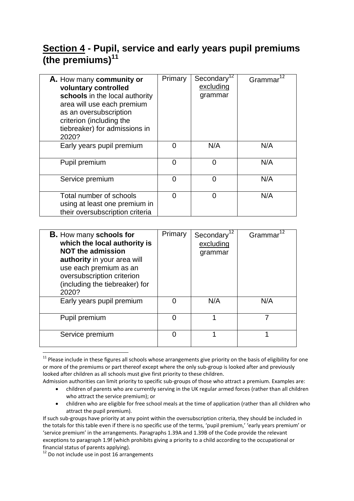# <span id="page-16-0"></span>**Section 4 - Pupil, service and early years pupil premiums (the premiums)<sup>11</sup>**

<span id="page-16-1"></span>

| A. How many community or<br>voluntary controlled<br>schools in the local authority<br>area will use each premium<br>as an oversubscription<br>criterion (including the<br>tiebreaker) for admissions in<br>2020? | Primary        | Secondary <sup>12</sup><br>excluding<br>grammar | 12<br>Grammar |
|------------------------------------------------------------------------------------------------------------------------------------------------------------------------------------------------------------------|----------------|-------------------------------------------------|---------------|
| Early years pupil premium                                                                                                                                                                                        | 0              | N/A                                             | N/A           |
| Pupil premium                                                                                                                                                                                                    | $\overline{0}$ | $\Omega$                                        | N/A           |
| Service premium                                                                                                                                                                                                  | 0              | $\Omega$                                        | N/A           |
| Total number of schools<br>using at least one premium in<br>their oversubscription criteria                                                                                                                      | 0              | 0                                               | N/A           |

| <b>B.</b> How many schools for<br>which the local authority is<br><b>NOT the admission</b><br>authority in your area will<br>use each premium as an<br>oversubscription criterion<br>(including the tiebreaker) for<br>2020? | Primary | Secondary <sup>1</sup><br>excluding<br>grammar | Grammar <sup>1</sup> |
|------------------------------------------------------------------------------------------------------------------------------------------------------------------------------------------------------------------------------|---------|------------------------------------------------|----------------------|
| Early years pupil premium                                                                                                                                                                                                    |         | N/A                                            | N/A                  |
| Pupil premium                                                                                                                                                                                                                |         |                                                |                      |
| Service premium                                                                                                                                                                                                              |         | 1                                              | 1                    |

**<sup>.</sup>** <sup>11</sup> Please include in these figures all schools whose arrangements give priority on the basis of eligibility for one or more of the premiums or part thereof except where the only sub-group is looked after and previously looked after children as all schools must give first priority to these children.

- children of parents who are currently serving in the UK regular armed forces (rather than all children who attract the service premium); or
- children who are eligible for free school meals at the time of application (rather than all children who attract the pupil premium).

Admission authorities can limit priority to specific sub-groups of those who attract a premium. Examples are:

If such sub-groups have priority at any point within the oversubscription criteria, they should be included in the totals for this table even if there is no specific use of the terms, 'pupil premium,' 'early years premium' or 'service premium' in the arrangements. Paragraphs 1.39A and 1.39B of the Code provide the relevant exceptions to paragraph 1.9f (which prohibits giving a priority to a child according to the occupational or financial status of parents applying).

 $12$  Do not include use in post 16 arrangements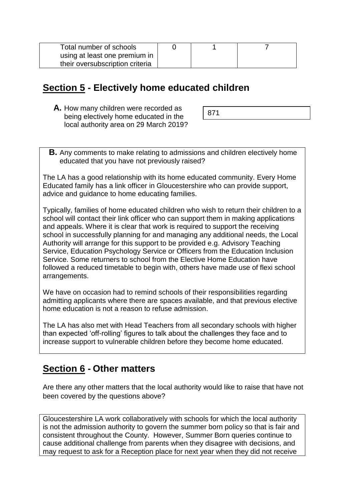| Total number of schools         |  |  |
|---------------------------------|--|--|
| using at least one premium in   |  |  |
| their oversubscription criteria |  |  |

### <span id="page-17-0"></span>**Section 5 - Electively home educated children**

**A.** How many children were recorded as being electively home educated in the local authority area on 29 March 2019?

|--|

**B.** Any comments to make relating to admissions and children electively home educated that you have not previously raised?

The LA has a good relationship with its home educated community. Every Home Educated family has a link officer in Gloucestershire who can provide support, advice and guidance to home educating families.

Typically, families of home educated children who wish to return their children to a school will contact their link officer who can support them in making applications and appeals. Where it is clear that work is required to support the receiving school in successfully planning for and managing any additional needs, the Local Authority will arrange for this support to be provided e.g. Advisory Teaching Service, Education Psychology Service or Officers from the Education Inclusion Service. Some returners to school from the Elective Home Education have followed a reduced timetable to begin with, others have made use of flexi school arrangements.

We have on occasion had to remind schools of their responsibilities regarding admitting applicants where there are spaces available, and that previous elective home education is not a reason to refuse admission.

The LA has also met with Head Teachers from all secondary schools with higher than expected 'off-rolling' figures to talk about the challenges they face and to increase support to vulnerable children before they become home educated.

### <span id="page-17-1"></span>**Section 6 - Other matters**

Are there any other matters that the local authority would like to raise that have not been covered by the questions above?

Gloucestershire LA work collaboratively with schools for which the local authority is not the admission authority to govern the summer born policy so that is fair and consistent throughout the County. However, Summer Born queries continue to cause additional challenge from parents when they disagree with decisions, and may request to ask for a Reception place for next year when they did not receive